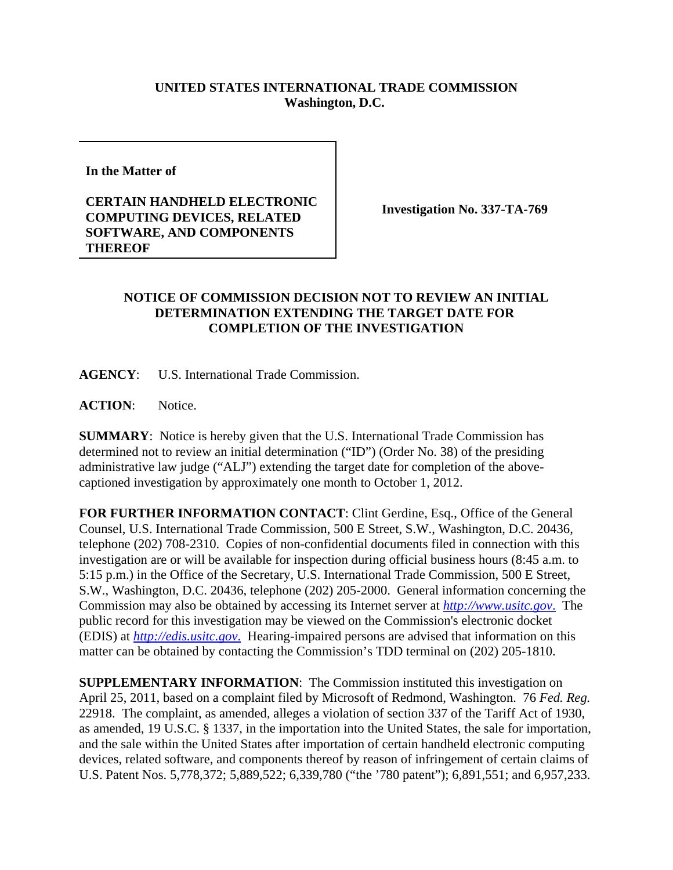## **UNITED STATES INTERNATIONAL TRADE COMMISSION Washington, D.C.**

**In the Matter of** 

## **CERTAIN HANDHELD ELECTRONIC COMPUTING DEVICES, RELATED SOFTWARE, AND COMPONENTS THEREOF**

**Investigation No. 337-TA-769**

## **NOTICE OF COMMISSION DECISION NOT TO REVIEW AN INITIAL DETERMINATION EXTENDING THE TARGET DATE FOR COMPLETION OF THE INVESTIGATION**

**AGENCY**: U.S. International Trade Commission.

**ACTION**: Notice.

**SUMMARY**: Notice is hereby given that the U.S. International Trade Commission has determined not to review an initial determination ("ID") (Order No. 38) of the presiding administrative law judge ("ALJ") extending the target date for completion of the abovecaptioned investigation by approximately one month to October 1, 2012.

**FOR FURTHER INFORMATION CONTACT**: Clint Gerdine, Esq., Office of the General Counsel, U.S. International Trade Commission, 500 E Street, S.W., Washington, D.C. 20436, telephone (202) 708-2310. Copies of non-confidential documents filed in connection with this investigation are or will be available for inspection during official business hours (8:45 a.m. to 5:15 p.m.) in the Office of the Secretary, U.S. International Trade Commission, 500 E Street, S.W., Washington, D.C. 20436, telephone (202) 205-2000. General information concerning the Commission may also be obtained by accessing its Internet server at *http://www.usitc.gov*. The public record for this investigation may be viewed on the Commission's electronic docket (EDIS) at *http://edis.usitc.gov*. Hearing-impaired persons are advised that information on this matter can be obtained by contacting the Commission's TDD terminal on (202) 205-1810.

**SUPPLEMENTARY INFORMATION**: The Commission instituted this investigation on April 25, 2011, based on a complaint filed by Microsoft of Redmond, Washington. 76 *Fed. Reg.* 22918. The complaint, as amended, alleges a violation of section 337 of the Tariff Act of 1930, as amended, 19 U.S.C. § 1337, in the importation into the United States, the sale for importation, and the sale within the United States after importation of certain handheld electronic computing devices, related software, and components thereof by reason of infringement of certain claims of U.S. Patent Nos. 5,778,372; 5,889,522; 6,339,780 ("the '780 patent"); 6,891,551; and 6,957,233.